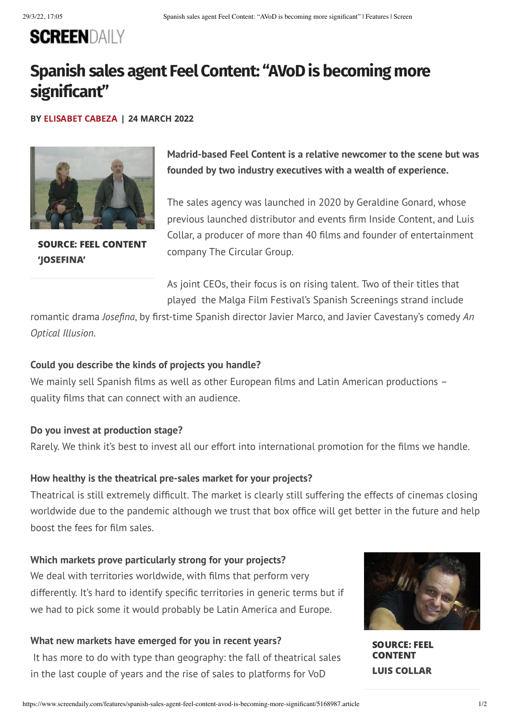# **SCREENDAILY**

# **Spanish sales agent Feel Content: "AVoDis becoming more significant"**

BY [ELISABET](https://www.screendaily.com/elisabet-cabeza/1101324.bio) CABEZA | 24 MARCH 2022



SOURCE: FEEL CONTENT 'JOSEFINA'

**Madrid-based Feel Content is a relative newcomer to the scene but was founded by two industry executives with a wealth of experience.**

The sales agency was launched in 2020 by Geraldine Gonard, whose previous launched distributor and events firm Inside Content, and Luis Collar, a producer of more than 40 films and founder of entertainment company The Circular Group.

As joint CEOs, their focus is on rising talent. Two of their titles that played the Malga Film Festival's Spanish Screenings strand include

romantic drama *Josefina*, by first-time Spanish director Javier Marco, and Javier Cavestany's comedy *An Optical Illusion*.

### **Could you describe the kinds of projects you handle?**

We mainly sell Spanish films as well as other European films and Latin American productions quality films that can connect with an audience.

### **Do you invest at production stage?**

Rarely. We think it's best to invest all our effort into international promotion for the films we handle.

#### **How healthy is the theatrical pre-sales market for your projects?**

Theatrical is still extremely difficult. The market is clearly still suffering the effects of cinemas closing worldwide due to the pandemic although we trust that box office will get better in the future and help boost the fees for film sales.

#### **Which markets prove particularly strong for your projects?**

We deal with territories worldwide, with films that perform very differently. It's hard to identify specific territories in generic terms but if we had to pick some it would probably be Latin America and Europe.

#### **What new markets have emerged for you in recent years?**

It has more to do with type than geography: the fall of theatrical sales in the last couple of years and the rise of sales to platforms for VoD



SOURCE: FEEL CONTENT LUIS COLLAR